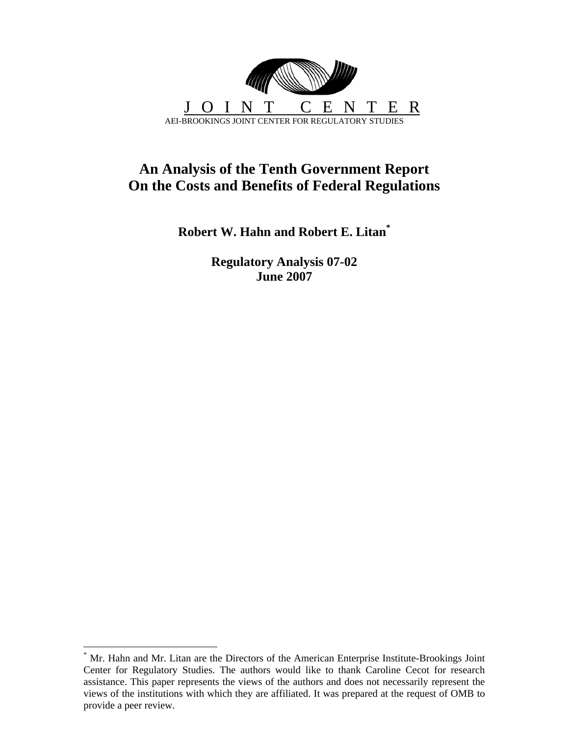

# **An Analysis of the Tenth Government Report On the Costs and Benefits of Federal Regulations**

**Robert W. Hahn and Robert E. Litan[\\*](#page-0-0)**

**Regulatory Analysis 07-02 June 2007**

<span id="page-0-0"></span><sup>\*</sup> Mr. Hahn and Mr. Litan are the Directors of the American Enterprise Institute-Brookings Joint Center for Regulatory Studies. The authors would like to thank Caroline Cecot for research assistance. This paper represents the views of the authors and does not necessarily represent the views of the institutions with which they are affiliated. It was prepared at the request of OMB to provide a peer review.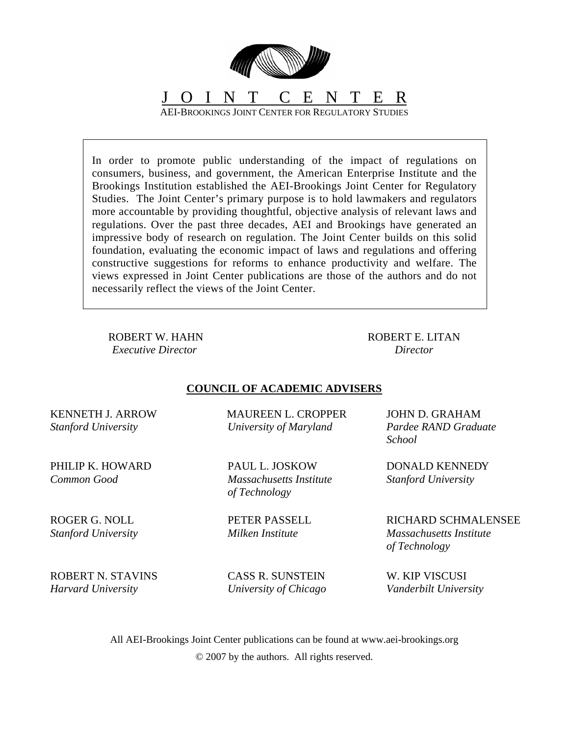

In order to promote public understanding of the impact of regulations on consumers, business, and government, the American Enterprise Institute and the Brookings Institution established the AEI-Brookings Joint Center for Regulatory Studies. The Joint Center's primary purpose is to hold lawmakers and regulators more accountable by providing thoughtful, objective analysis of relevant laws and regulations. Over the past three decades, AEI and Brookings have generated an impressive body of research on regulation. The Joint Center builds on this solid foundation, evaluating the economic impact of laws and regulations and offering constructive suggestions for reforms to enhance productivity and welfare. The views expressed in Joint Center publications are those of the authors and do not necessarily reflect the views of the Joint Center.

ROBERT W. HAHN *Executive Director* 

ROBERT E. LITAN *Director* 

### **COUNCIL OF ACADEMIC ADVISERS**

MAUREEN L. CROPPER *University of Maryland* 

PAUL L. JOSKOW *Massachusetts Institute* 

PETER PASSELL *Milken Institute* 

*of Technology*

KENNETH J. ARROW *Stanford University* 

PHILIP K. HOWARD *Common Good* 

ROGER G. NOLL *Stanford University*

ROBERT N. STAVINS *Harvard University* 

CASS R. SUNSTEIN *University of Chicago*  JOHN D. GRAHAM *Pardee RAND Graduate School* 

DONALD KENNEDY *Stanford University*

RICHARD SCHMALENSEE *Massachusetts Institute of Technology*

W. KIP VISCUSI *Vanderbilt University* 

All AEI-Brookings Joint Center publications can be found at www.aei-brookings.org © 2007 by the authors. All rights reserved.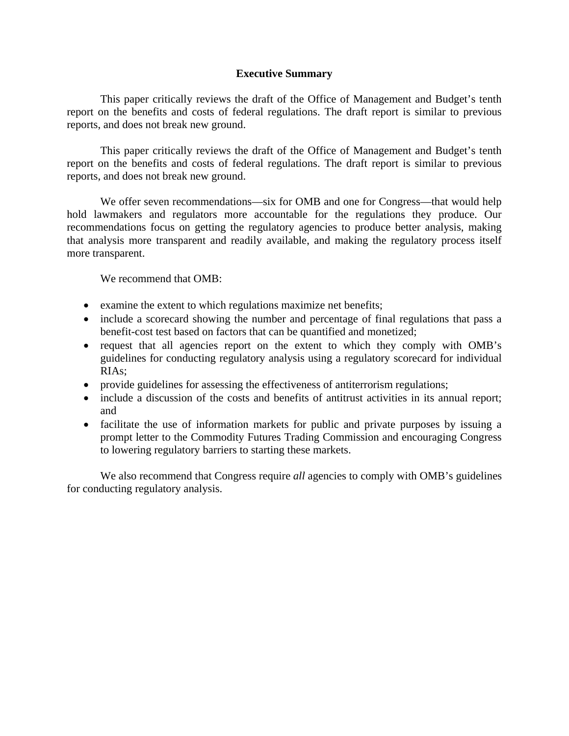#### **Executive Summary**

This paper critically reviews the draft of the Office of Management and Budget's tenth report on the benefits and costs of federal regulations. The draft report is similar to previous reports, and does not break new ground.

This paper critically reviews the draft of the Office of Management and Budget's tenth report on the benefits and costs of federal regulations. The draft report is similar to previous reports, and does not break new ground.

We offer seven recommendations—six for OMB and one for Congress—that would help hold lawmakers and regulators more accountable for the regulations they produce. Our recommendations focus on getting the regulatory agencies to produce better analysis, making that analysis more transparent and readily available, and making the regulatory process itself more transparent.

We recommend that OMB:

- examine the extent to which regulations maximize net benefits;
- include a scorecard showing the number and percentage of final regulations that pass a benefit-cost test based on factors that can be quantified and monetized;
- request that all agencies report on the extent to which they comply with OMB's guidelines for conducting regulatory analysis using a regulatory scorecard for individual RIAs;
- provide guidelines for assessing the effectiveness of antiterrorism regulations;
- include a discussion of the costs and benefits of antitrust activities in its annual report; and
- facilitate the use of information markets for public and private purposes by issuing a prompt letter to the Commodity Futures Trading Commission and encouraging Congress to lowering regulatory barriers to starting these markets.

We also recommend that Congress require *all* agencies to comply with OMB's guidelines for conducting regulatory analysis.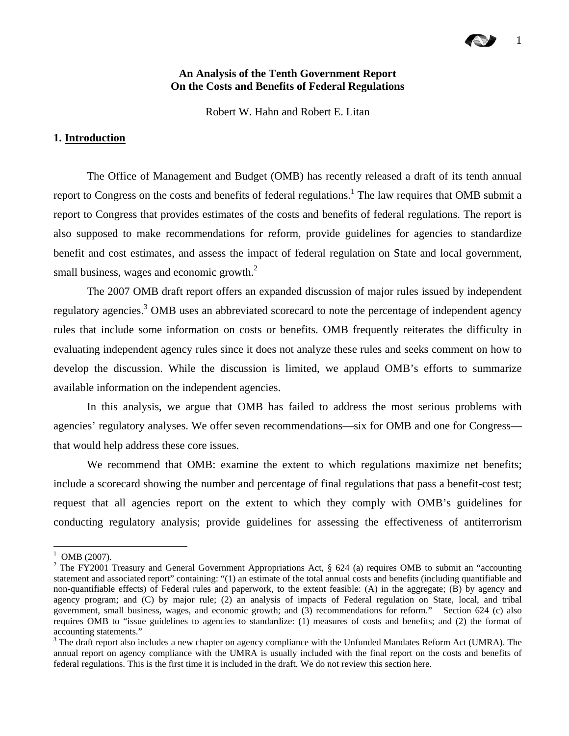#### **An Analysis of the Tenth Government Report On the Costs and Benefits of Federal Regulations**

Robert W. Hahn and Robert E. Litan

#### **1. Introduction**

The Office of Management and Budget (OMB) has recently released a draft of its tenth annual report to Congress on the costs and benefits of federal regulations.<sup>[1](#page-3-0)</sup> The law requires that OMB submit a report to Congress that provides estimates of the costs and benefits of federal regulations. The report is also supposed to make recommendations for reform, provide guidelines for agencies to standardize benefit and cost estimates, and assess the impact of federal regulation on State and local government, small business, wages and economic growth. $2$ 

The 2007 OMB draft report offers an expanded discussion of major rules issued by independent regulatory agencies.<sup>[3](#page-3-2)</sup> OMB uses an abbreviated scorecard to note the percentage of independent agency rules that include some information on costs or benefits. OMB frequently reiterates the difficulty in evaluating independent agency rules since it does not analyze these rules and seeks comment on how to develop the discussion. While the discussion is limited, we applaud OMB's efforts to summarize available information on the independent agencies.

In this analysis, we argue that OMB has failed to address the most serious problems with agencies' regulatory analyses. We offer seven recommendations—six for OMB and one for Congress that would help address these core issues.

We recommend that OMB: examine the extent to which regulations maximize net benefits; include a scorecard showing the number and percentage of final regulations that pass a benefit-cost test; request that all agencies report on the extent to which they comply with OMB's guidelines for conducting regulatory analysis; provide guidelines for assessing the effectiveness of antiterrorism

<span id="page-3-0"></span> $1$  OMB (2007).

<span id="page-3-1"></span><sup>&</sup>lt;sup>2</sup> The FY2001 Treasury and General Government Appropriations Act, § 624 (a) requires OMB to submit an "accounting statement and associated report" containing: "(1) an estimate of the total annual costs and benefits (including quantifiable and non-quantifiable effects) of Federal rules and paperwork, to the extent feasible: (A) in the aggregate; (B) by agency and agency program; and (C) by major rule; (2) an analysis of impacts of Federal regulation on State, local, and tribal government, small business, wages, and economic growth; and (3) recommendations for reform." Section 624 (c) also requires OMB to "issue guidelines to agencies to standardize: (1) measures of costs and benefits; and (2) the format of accounting statements."

<span id="page-3-2"></span> $3$  The draft report also includes a new chapter on agency compliance with the Unfunded Mandates Reform Act (UMRA). The annual report on agency compliance with the UMRA is usually included with the final report on the costs and benefits of federal regulations. This is the first time it is included in the draft. We do not review this section here.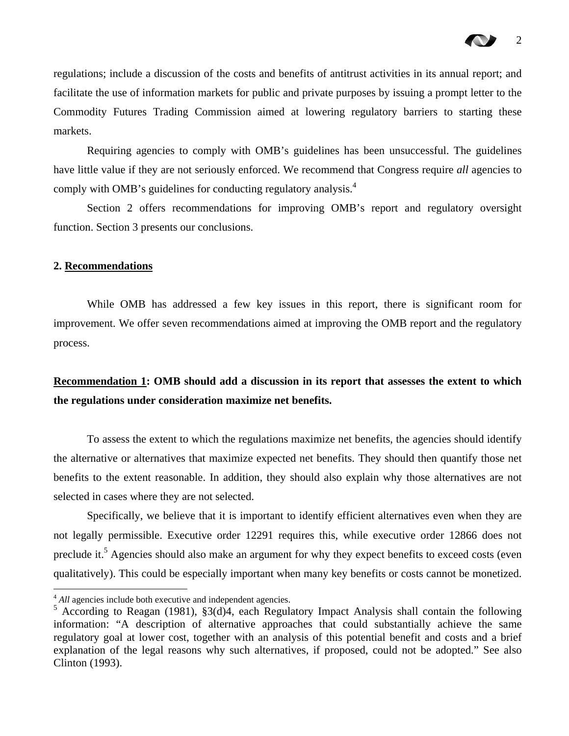regulations; include a discussion of the costs and benefits of antitrust activities in its annual report; and facilitate the use of information markets for public and private purposes by issuing a prompt letter to the Commodity Futures Trading Commission aimed at lowering regulatory barriers to starting these markets.

Requiring agencies to comply with OMB's guidelines has been unsuccessful. The guidelines have little value if they are not seriously enforced. We recommend that Congress require *all* agencies to comply with OMB's guidelines for conducting regulatory analysis.<sup>[4](#page-4-0)</sup>

Section 2 offers recommendations for improving OMB's report and regulatory oversight function. Section 3 presents our conclusions.

#### **2. Recommendations**

 $\overline{a}$ 

While OMB has addressed a few key issues in this report, there is significant room for improvement. We offer seven recommendations aimed at improving the OMB report and the regulatory process.

## **Recommendation 1: OMB should add a discussion in its report that assesses the extent to which the regulations under consideration maximize net benefits.**

To assess the extent to which the regulations maximize net benefits, the agencies should identify the alternative or alternatives that maximize expected net benefits. They should then quantify those net benefits to the extent reasonable. In addition, they should also explain why those alternatives are not selected in cases where they are not selected.

Specifically, we believe that it is important to identify efficient alternatives even when they are not legally permissible. Executive order 12291 requires this, while executive order 12866 does not preclude it.<sup>[5](#page-4-1)</sup> Agencies should also make an argument for why they expect benefits to exceed costs (even qualitatively). This could be especially important when many key benefits or costs cannot be monetized.

<span id="page-4-0"></span><sup>&</sup>lt;sup>4</sup> *All* agencies include both executive and independent agencies.

<span id="page-4-1"></span> $5$  According to Reagan (1981), §3(d)4, each Regulatory Impact Analysis shall contain the following information: "A description of alternative approaches that could substantially achieve the same regulatory goal at lower cost, together with an analysis of this potential benefit and costs and a brief explanation of the legal reasons why such alternatives, if proposed, could not be adopted." See also Clinton (1993).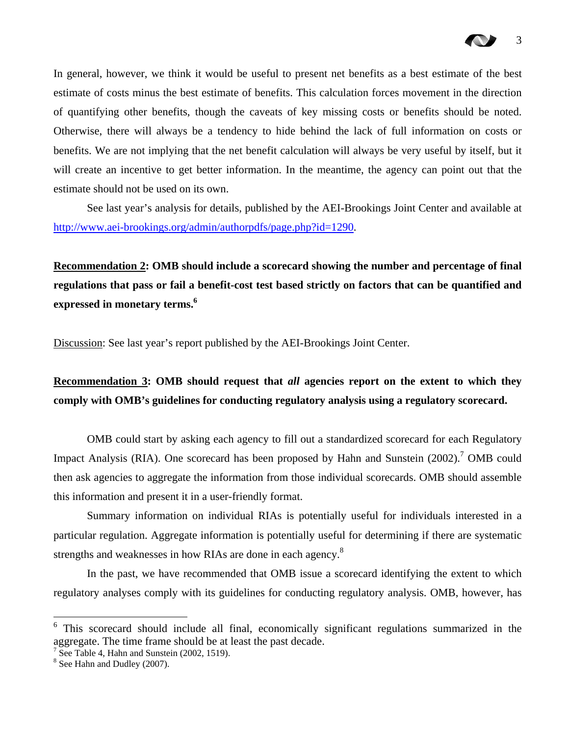

In general, however, we think it would be useful to present net benefits as a best estimate of the best estimate of costs minus the best estimate of benefits. This calculation forces movement in the direction of quantifying other benefits, though the caveats of key missing costs or benefits should be noted. Otherwise, there will always be a tendency to hide behind the lack of full information on costs or benefits. We are not implying that the net benefit calculation will always be very useful by itself, but it will create an incentive to get better information. In the meantime, the agency can point out that the estimate should not be used on its own.

See last year's analysis for details, published by the AEI-Brookings Joint Center and available at [http://www.aei-brookings.org/admin/authorpdfs/page.php?id=1290.](http://www.aei-brookings.org/admin/authorpdfs/page.php?id=1290)

**Recommendation 2: OMB should include a scorecard showing the number and percentage of final regulations that pass or fail a benefit-cost test based strictly on factors that can be quantified and expressed in monetary terms.[6](#page-5-0)** 

Discussion: See last year's report published by the AEI-Brookings Joint Center.

**Recommendation 3: OMB should request that** *all* **agencies report on the extent to which they comply with OMB's guidelines for conducting regulatory analysis using a regulatory scorecard.** 

OMB could start by asking each agency to fill out a standardized scorecard for each Regulatory Impact Analysis (RIA). One scorecard has been proposed by Hahn and Sunstein (2002).<sup>[7](#page-5-1)</sup> OMB could then ask agencies to aggregate the information from those individual scorecards. OMB should assemble this information and present it in a user-friendly format.

Summary information on individual RIAs is potentially useful for individuals interested in a particular regulation. Aggregate information is potentially useful for determining if there are systematic strengthsand weaknesses in how RIAs are done in each agency.<sup>8</sup>

In the past, we have recommended that OMB issue a scorecard identifying the extent to which regulatory analyses comply with its guidelines for conducting regulatory analysis. OMB, however, has

<span id="page-5-0"></span><sup>&</sup>lt;sup>6</sup> This scorecard should include all final, economically significant regulations summarized in the aggregate. The time frame should be at least the past decade.

<span id="page-5-1"></span><sup>&</sup>lt;sup>7</sup> See Table 4, Hahn and Sunstein (2002, 1519).

<span id="page-5-2"></span><sup>&</sup>lt;sup>8</sup> See Hahn and Dudley (2007).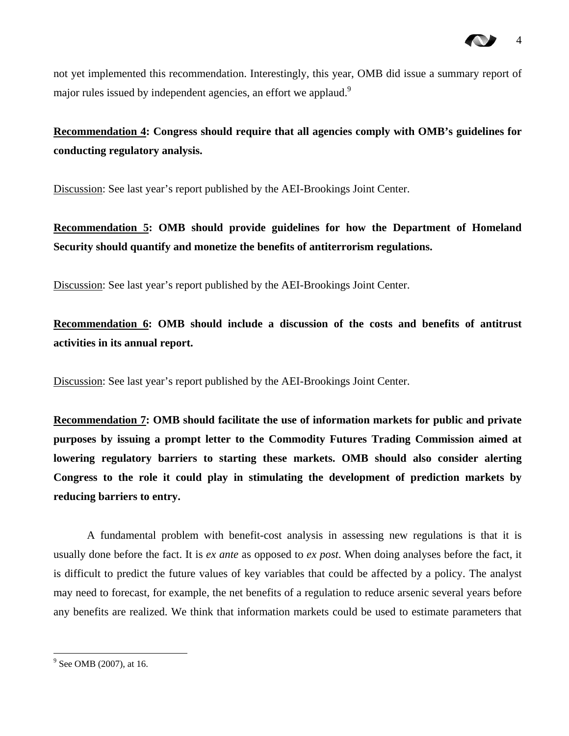not yet implemented this recommendation. Interestingly, this year, OMB did issue a summary report of major rules issued by independent agencies, an effort we applaud.<sup>[9](#page-6-0)</sup>

**Recommendation 4: Congress should require that all agencies comply with OMB's guidelines for conducting regulatory analysis.** 

Discussion: See last year's report published by the AEI-Brookings Joint Center.

**Recommendation 5: OMB should provide guidelines for how the Department of Homeland Security should quantify and monetize the benefits of antiterrorism regulations.** 

Discussion: See last year's report published by the AEI-Brookings Joint Center.

**Recommendation 6: OMB should include a discussion of the costs and benefits of antitrust activities in its annual report.** 

Discussion: See last year's report published by the AEI-Brookings Joint Center.

**Recommendation 7: OMB should facilitate the use of information markets for public and private purposes by issuing a prompt letter to the Commodity Futures Trading Commission aimed at lowering regulatory barriers to starting these markets. OMB should also consider alerting Congress to the role it could play in stimulating the development of prediction markets by reducing barriers to entry.**

A fundamental problem with benefit-cost analysis in assessing new regulations is that it is usually done before the fact. It is *ex ante* as opposed to *ex post*. When doing analyses before the fact, it is difficult to predict the future values of key variables that could be affected by a policy. The analyst may need to forecast, for example, the net benefits of a regulation to reduce arsenic several years before any benefits are realized. We think that information markets could be used to estimate parameters that

<span id="page-6-0"></span> $9^9$  See OMB (2007), at 16.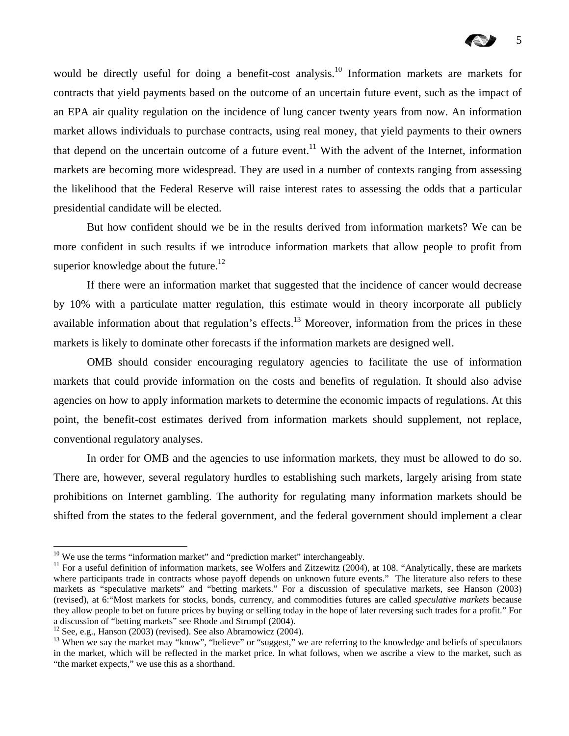would be directly useful for doing a benefit-cost analysis.<sup>10</sup> Information markets are markets for contracts that yield payments based on the outcome of an uncertain future event, such as the impact of an EPA air quality regulation on the incidence of lung cancer twenty years from now. An information market allows individuals to purchase contracts, using real money, that yield payments to their owners that depend on the uncertain outcome of a future event.<sup>11</sup> With the advent of the Internet, information markets are becoming more widespread. They are used in a number of contexts ranging from assessing the likelihood that the Federal Reserve will raise interest rates to assessing the odds that a particular presidential candidate will be elected.

But how confident should we be in the results derived from information markets? We can be more confident in such results if we introduce information markets that allow people to profit from superior knowledge about the future.<sup>12</sup>

If there were an information market that suggested that the incidence of cancer would decrease by 10% with a particulate matter regulation, this estimate would in theory incorporate all publicly available information about that regulation's effects.<sup>13</sup> Moreover, information from the prices in these markets is likely to dominate other forecasts if the information markets are designed well.

OMB should consider encouraging regulatory agencies to facilitate the use of information markets that could provide information on the costs and benefits of regulation. It should also advise agencies on how to apply information markets to determine the economic impacts of regulations. At this point, the benefit-cost estimates derived from information markets should supplement, not replace, conventional regulatory analyses.

In order for OMB and the agencies to use information markets, they must be allowed to do so. There are, however, several regulatory hurdles to establishing such markets, largely arising from state prohibitions on Internet gambling. The authority for regulating many information markets should be shifted from the states to the federal government, and the federal government should implement a clear

<span id="page-7-1"></span><span id="page-7-0"></span>

<sup>&</sup>lt;sup>10</sup> We use the terms "information market" and "prediction market" interchangeably.<br><sup>11</sup> For a useful definition of information markets, see Wolfers and Zitzewitz (2004), at 108. "Analytically, these are markets where participants trade in contracts whose payoff depends on unknown future events." The literature also refers to these markets as "speculative markets" and "betting markets." For a discussion of speculative markets, see Hanson (2003) (revised), at 6:"Most markets for stocks, bonds, currency, and commodities futures are called *speculative markets* because they allow people to bet on future prices by buying or selling today in the hope of later reversing such trades for a profit." For a discussion of "betting markets" see Rhode and Strumpf (2004).<br><sup>12</sup> See, e.g., Hanson (2003) (revised). See also Abramowicz (2004).

<span id="page-7-2"></span>

<span id="page-7-3"></span><sup>&</sup>lt;sup>13</sup> When we say the market may "know", "believe" or "suggest," we are referring to the knowledge and beliefs of speculators in the market, which will be reflected in the market price. In what follows, when we ascribe a view to the market, such as "the market expects," we use this as a shorthand.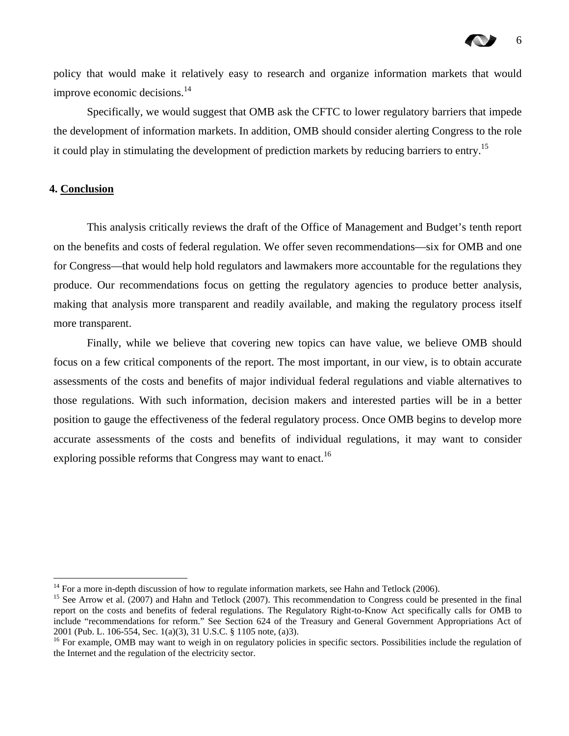policy that would make it relatively easy to research and organize information markets that would improve economic decisions.<sup>[14](#page-8-0)</sup>

Specifically, we would suggest that OMB ask the CFTC to lower regulatory barriers that impede the development of information markets. In addition, OMB should consider alerting Congress to the role it could play in stimulating the development of prediction markets by reducing barriers to entry.<sup>15</sup>

#### **4. Conclusion**

 $\overline{a}$ 

This analysis critically reviews the draft of the Office of Management and Budget's tenth report on the benefits and costs of federal regulation. We offer seven recommendations—six for OMB and one for Congress—that would help hold regulators and lawmakers more accountable for the regulations they produce. Our recommendations focus on getting the regulatory agencies to produce better analysis, making that analysis more transparent and readily available, and making the regulatory process itself more transparent.

Finally, while we believe that covering new topics can have value, we believe OMB should focus on a few critical components of the report. The most important, in our view, is to obtain accurate assessments of the costs and benefits of major individual federal regulations and viable alternatives to those regulations. With such information, decision makers and interested parties will be in a better position to gauge the effectiveness of the federal regulatory process. Once OMB begins to develop more accurate assessments of the costs and benefits of individual regulations, it may want to consider exploring possible reforms that Congress may want to enact.<sup>[16](#page-8-2)</sup>

<span id="page-8-1"></span><span id="page-8-0"></span>

<sup>&</sup>lt;sup>14</sup> For a more in-depth discussion of how to regulate information markets, see Hahn and Tetlock (2006).<br><sup>15</sup> See Arrow et al. (2007) and Hahn and Tetlock (2007). This recommendation to Congress could be presented in the report on the costs and benefits of federal regulations. The Regulatory Right-to-Know Act specifically calls for OMB to include "recommendations for reform." See Section 624 of the Treasury and General Government Appropriations Act of 2001 (Pub. L. 106-554, Sec. 1(a)(3), 31 U.S.C. § 1105 note, (a)3). <sup>16</sup> For example, OMB may want to weigh in on regulatory policies in specific sectors. Possibilities include the regulation of

<span id="page-8-2"></span>the Internet and the regulation of the electricity sector.